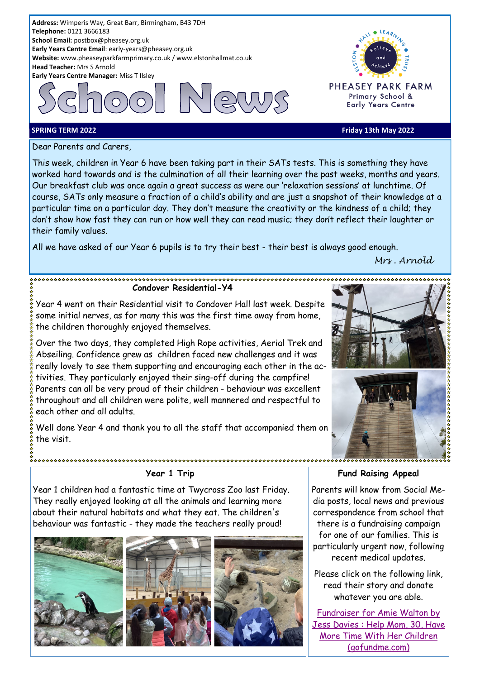



PHEASEY PARK FARM Primary School & **Early Years Centre** 

#### **SPRING TERM 2022 Friday 13th May 2022**

Dear Parents and Carers,

This week, children in Year 6 have been taking part in their SATs tests. This is something they have worked hard towards and is the culmination of all their learning over the past weeks, months and years. Our breakfast club was once again a great success as were our 'relaxation sessions' at lunchtime. Of course, SATs only measure a fraction of a child's ability and are just a snapshot of their knowledge at a particular time on a particular day. They don't measure the creativity or the kindness of a child; they don't show how fast they can run or how well they can read music; they don't reflect their laughter or their family values.

All we have asked of our Year 6 pupils is to try their best - their best is always good enough.

#### **Condover Residential-Y4**

Year 4 went on their Residential visit to Condover Hall last week. Despite some initial nerves, as for many this was the first time away from home, the children thoroughly enjoyed themselves.

Over the two days, they completed High Rope activities, Aerial Trek and Abseiling. Confidence grew as children faced new challenges and it was really lovely to see them supporting and encouraging each other in the activities. They particularly enjoyed their sing-off during the campfire! Parents can all be very proud of their children - behaviour was excellent throughout and all children were polite, well mannered and respectful to each other and all adults.

Well done Year 4 and thank you to all the staff that accompanied them on the visit.



# **Year 1 Trip**

Year 1 children had a fantastic time at Twycross Zoo last Friday. They really enjoyed looking at all the animals and learning more about their natural habitats and what they eat. The children's behaviour was fantastic - they made the teachers really proud!



\*\*\*\*\*\*\*\*\*\*\*\*\*\*\*\*\*\*\*\*\*\*\*\*\*\*\*\*\*\*\*





**Fund Raising Appeal**

Parents will know from Social Media posts, local news and previous correspondence from school that there is a fundraising campaign for one of our families. This is particularly urgent now, following recent medical updates.

Please click on the following link, read their story and donate whatever you are able.

[Fundraiser for Amie Walton by](https://www.gofundme.com/f/prolong-amies-life)  [Jess Davies : Help Mom, 30, Have](https://www.gofundme.com/f/prolong-amies-life)  [More Time With Her Children](https://www.gofundme.com/f/prolong-amies-life)  [\(gofundme.com\)](https://www.gofundme.com/f/prolong-amies-life)

*Mrs . Arnold*